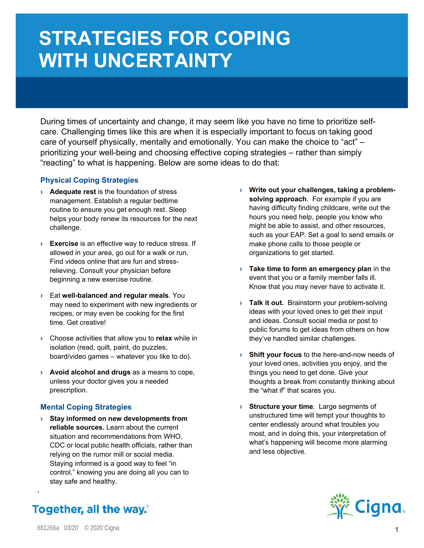## **STRATEGIES FOR COPING WITH UNCERTAINTY**

During times of uncertainty and change, it may seem like you have no time to prioritize selfcare. Challenging times like this are when it is especially important to focus on taking good care of yourself physically, mentally and emotionally. You can make the choice to "act" – prioritizing your well-being and choosing effective coping strategies – rather than simply "reacting" to what is happening. Below are some ideas to do that:

## **Physical Coping Strategies**

- **› Adequate rest** is the foundation of stress management. Establish a regular bedtime routine to ensure you get enough rest. Sleep helps your body renew its resources for the next challenge.
- **› Exercise** is an effective way to reduce stress. If allowed in your area, go out for a walk or run. Find videos online that are fun and stressrelieving. Consult your physician before beginning a new exercise routine.
- **›** Eat **well-balanced and regular meals***.* You may need to experiment with new ingredients or recipes, or may even be cooking for the first time. Get creative!
- **›** Choose activities that allow you to **relax** while in isolation (read, quilt, paint, do puzzles, board/video games – whatever you like to do).
- **› Avoid alcohol and drugs** as a means to cope, unless your doctor gives you a needed prescription.

## **Mental Coping Strategies**

**› Stay informed on new developments from reliable sources.** Learn about the current situation and recommendations from WHO, CDC or local public health officials, rather than relying on the rumor mill or social media. Staying informed is a good way to feel "in control," knowing you are doing all you can to stay safe and healthy.

- **› Write out your challenges, taking a problemsolving approach***.* For example if you are having difficulty finding childcare, write out the hours you need help, people you know who might be able to assist, and other resources, such as your EAP. Set a goal to send emails or make phone calls to those people or organizations to get started.
- **› Take time to form an emergency plan** in the event that you or a family member falls ill. Know that you may never have to activate it.
- **> Talk it out.** Brainstorm your problem-solving ideas with your loved ones to get their input and ideas. Consult social media or post to public forums to get ideas from others on how they've handled similar challenges.
- **› Shift your focus** to the here-and-now needs of your loved ones, activities you enjoy, and the things you need to get done. Give your thoughts a break from constantly thinking about the "what if" that scares you.
- **› Structure your time***.* Large segments of unstructured time will tempt your thoughts to center endlessly around what troubles you most, and in doing this, your interpretation of what's happening will become more alarming and less objective.



**Together, all the way.**<sup>®</sup>

**›**